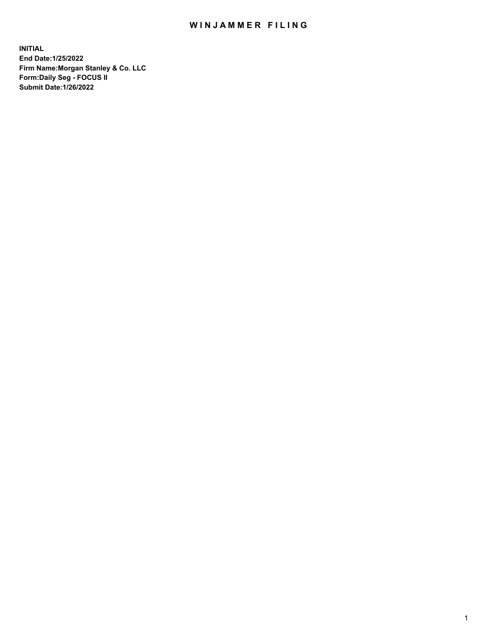## WIN JAMMER FILING

**INITIAL End Date:1/25/2022 Firm Name:Morgan Stanley & Co. LLC Form:Daily Seg - FOCUS II Submit Date:1/26/2022**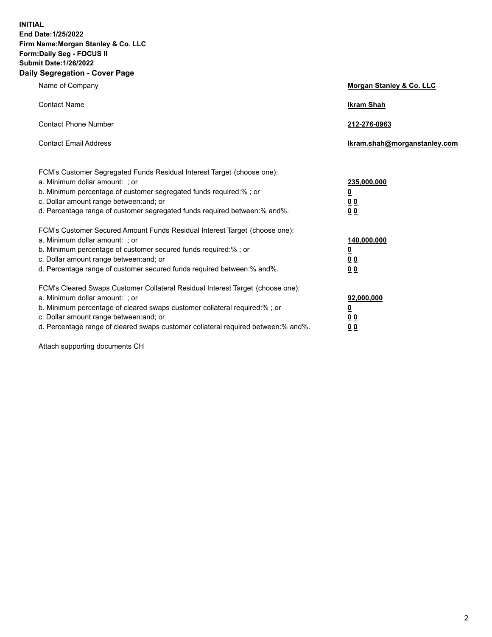**INITIAL End Date:1/25/2022 Firm Name:Morgan Stanley & Co. LLC Form:Daily Seg - FOCUS II Submit Date:1/26/2022 Daily Segregation - Cover Page**

| Name of Company                                                                                                                                                                                                                                                                                                                | Morgan Stanley & Co. LLC                                |
|--------------------------------------------------------------------------------------------------------------------------------------------------------------------------------------------------------------------------------------------------------------------------------------------------------------------------------|---------------------------------------------------------|
| <b>Contact Name</b>                                                                                                                                                                                                                                                                                                            | <b>Ikram Shah</b>                                       |
| <b>Contact Phone Number</b>                                                                                                                                                                                                                                                                                                    | 212-276-0963                                            |
| <b>Contact Email Address</b>                                                                                                                                                                                                                                                                                                   | Ikram.shah@morganstanley.com                            |
| FCM's Customer Segregated Funds Residual Interest Target (choose one):<br>a. Minimum dollar amount: ; or<br>b. Minimum percentage of customer segregated funds required:% ; or<br>c. Dollar amount range between: and; or<br>d. Percentage range of customer segregated funds required between:% and%.                         | 235,000,000<br><u>0</u><br><u>00</u><br><u>00</u>       |
| FCM's Customer Secured Amount Funds Residual Interest Target (choose one):<br>a. Minimum dollar amount: ; or<br>b. Minimum percentage of customer secured funds required:%; or<br>c. Dollar amount range between: and; or<br>d. Percentage range of customer secured funds required between:% and%.                            | 140,000,000<br><u>0</u><br><u>0 0</u><br>0 <sub>0</sub> |
| FCM's Cleared Swaps Customer Collateral Residual Interest Target (choose one):<br>a. Minimum dollar amount: ; or<br>b. Minimum percentage of cleared swaps customer collateral required:% ; or<br>c. Dollar amount range between: and; or<br>d. Percentage range of cleared swaps customer collateral required between:% and%. | 92,000,000<br><u>0</u><br><u>00</u><br>00               |

Attach supporting documents CH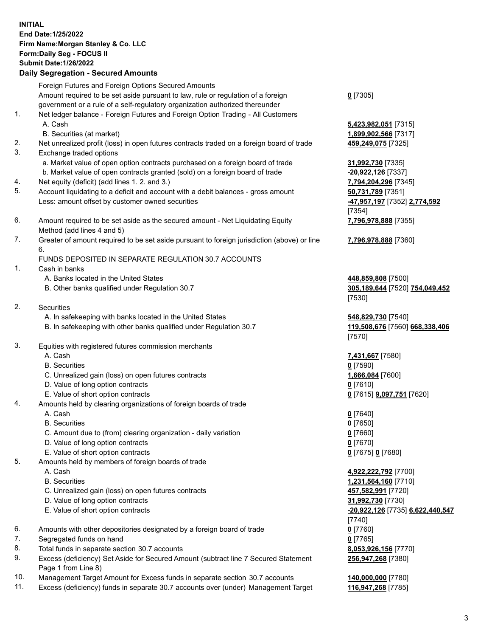## **INITIAL End Date:1/25/2022 Firm Name:Morgan Stanley & Co. LLC Form:Daily Seg - FOCUS II Submit Date:1/26/2022 Daily Segregation - Secured Amounts**

Foreign Futures and Foreign Options Secured Amounts Amount required to be set aside pursuant to law, rule or regulation of a foreign government or a rule of a self-regulatory organization authorized thereunder 1. Net ledger balance - Foreign Futures and Foreign Option Trading - All Customers A. Cash **5,423,982,051** [7315] B. Securities (at market) **1,899,902,566** [7317] 2. Net unrealized profit (loss) in open futures contracts traded on a foreign board of trade **459,249,075** [7325] 3. Exchange traded options a. Market value of open option contracts purchased on a foreign board of trade **31,992,730** [7335] b. Market value of open contracts granted (sold) on a foreign board of trade **-20,922,126** [7337]

- 4. Net equity (deficit) (add lines 1. 2. and 3.) **7,794,204,296** [7345]
- 5. Account liquidating to a deficit and account with a debit balances gross amount **50,731,789** [7351] Less: amount offset by customer owned securities **-47,957,197** [7352] **2,774,592**
- 6. Amount required to be set aside as the secured amount Net Liquidating Equity Method (add lines 4 and 5)
- 7. Greater of amount required to be set aside pursuant to foreign jurisdiction (above) or line 6.

## FUNDS DEPOSITED IN SEPARATE REGULATION 30.7 ACCOUNTS

- 1. Cash in banks
	- A. Banks located in the United States **448,859,808** [7500]
	- B. Other banks qualified under Regulation 30.7 **305,189,644** [7520] **754,049,452**
- 2. Securities
	- A. In safekeeping with banks located in the United States **548,829,730** [7540]
	- B. In safekeeping with other banks qualified under Regulation 30.7 **119,508,676** [7560] **668,338,406**
- 3. Equities with registered futures commission merchants
	-
	- B. Securities **0** [7590]
	- C. Unrealized gain (loss) on open futures contracts **1,666,084** [7600]
	- D. Value of long option contracts **0** [7610]
	- E. Value of short option contracts **0** [7615] **9,097,751** [7620]
- 4. Amounts held by clearing organizations of foreign boards of trade
	-
	- B. Securities **0** [7650]
	- C. Amount due to (from) clearing organization daily variation **0** [7660]
	- D. Value of long option contracts **0** [7670]
	- E. Value of short option contracts **0** [7675] **0** [7680]
- 5. Amounts held by members of foreign boards of trade
	-
	-
	- C. Unrealized gain (loss) on open futures contracts **457,582,991** [7720]
	- D. Value of long option contracts **31,992,730** [7730]
	- E. Value of short option contracts **-20,922,126** [7735] **6,622,440,547**
- 6. Amounts with other depositories designated by a foreign board of trade **0** [7760]
- 7. Segregated funds on hand **0** [7765]
- 8. Total funds in separate section 30.7 accounts **8,053,926,156** [7770]
- 9. Excess (deficiency) Set Aside for Secured Amount (subtract line 7 Secured Statement Page 1 from Line 8)
- 10. Management Target Amount for Excess funds in separate section 30.7 accounts **140,000,000** [7780]
- 11. Excess (deficiency) funds in separate 30.7 accounts over (under) Management Target **116,947,268** [7785]

**0** [7305]

[7354] **7,796,978,888** [7355]

**7,796,978,888** [7360]

[7530]

[7570]

A. Cash **7,431,667** [7580]

A. Cash **0** [7640]

 A. Cash **4,922,222,792** [7700] B. Securities **1,231,564,160** [7710] [7740] **256,947,268** [7380]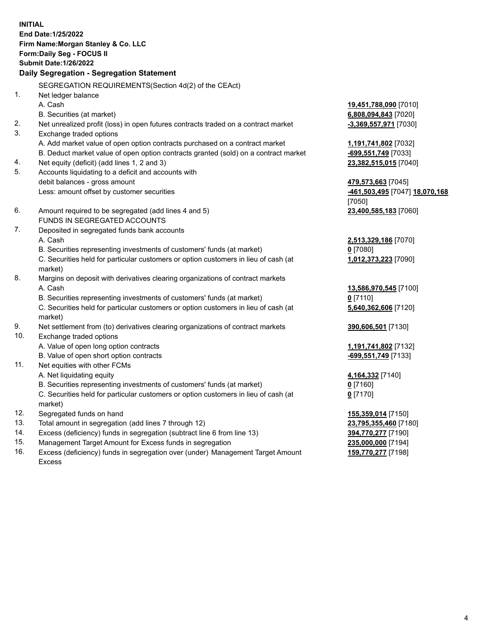**INITIAL End Date:1/25/2022 Firm Name:Morgan Stanley & Co. LLC Form:Daily Seg - FOCUS II Submit Date:1/26/2022 Daily Segregation - Segregation Statement** SEGREGATION REQUIREMENTS(Section 4d(2) of the CEAct) 1. Net ledger balance A. Cash **19,451,788,090** [7010] B. Securities (at market) **6,808,094,843** [7020] 2. Net unrealized profit (loss) in open futures contracts traded on a contract market **-3,369,557,971** [7030] 3. Exchange traded options A. Add market value of open option contracts purchased on a contract market **1,191,741,802** [7032] B. Deduct market value of open option contracts granted (sold) on a contract market **-699,551,749** [7033] 4. Net equity (deficit) (add lines 1, 2 and 3) **23,382,515,015** [7040] 5. Accounts liquidating to a deficit and accounts with debit balances - gross amount **479,573,663** [7045] Less: amount offset by customer securities **-461,503,495** [7047] **18,070,168** [7050] 6. Amount required to be segregated (add lines 4 and 5) **23,400,585,183** [7060] FUNDS IN SEGREGATED ACCOUNTS 7. Deposited in segregated funds bank accounts A. Cash **2,513,329,186** [7070] B. Securities representing investments of customers' funds (at market) **0** [7080] C. Securities held for particular customers or option customers in lieu of cash (at market) **1,012,373,223** [7090] 8. Margins on deposit with derivatives clearing organizations of contract markets A. Cash **13,586,970,545** [7100] B. Securities representing investments of customers' funds (at market) **0** [7110] C. Securities held for particular customers or option customers in lieu of cash (at market) **5,640,362,606** [7120] 9. Net settlement from (to) derivatives clearing organizations of contract markets **390,606,501** [7130] 10. Exchange traded options A. Value of open long option contracts **1,191,741,802** [7132] B. Value of open short option contracts **-699,551,749** [7133] 11. Net equities with other FCMs A. Net liquidating equity **4,164,332** [7140] B. Securities representing investments of customers' funds (at market) **0** [7160] C. Securities held for particular customers or option customers in lieu of cash (at market) **0** [7170] 12. Segregated funds on hand **155,359,014** [7150] 13. Total amount in segregation (add lines 7 through 12) **23,795,355,460** [7180] 14. Excess (deficiency) funds in segregation (subtract line 6 from line 13) **394,770,277** [7190] 15. Management Target Amount for Excess funds in segregation **235,000,000** [7194]

16. Excess (deficiency) funds in segregation over (under) Management Target Amount Excess

**159,770,277** [7198]